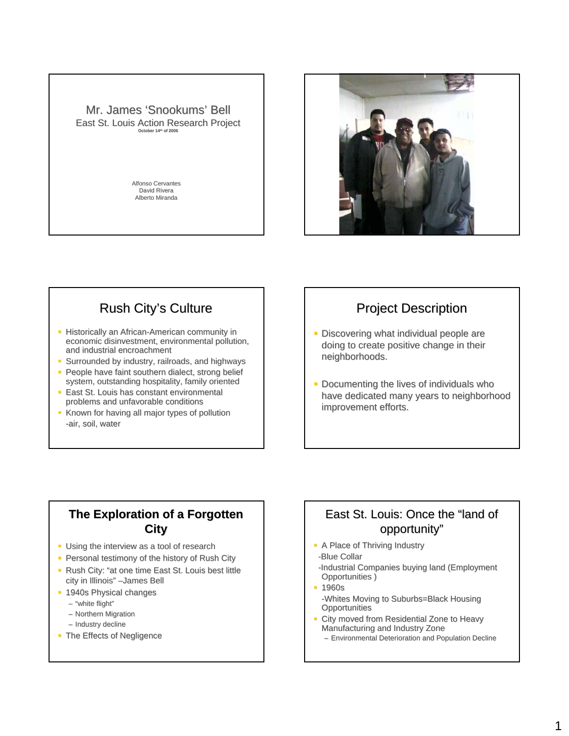



## Rush City's Culture

- Historically an African-American community in economic disinvestment, environmental pollution, and industrial encroachment
- **Surrounded by industry, railroads, and highways**
- **People have faint southern dialect, strong belief** system, outstanding hospitality, family oriented
- **East St. Louis has constant environmental** problems and unfavorable conditions
- Known for having all major types of pollution -air, soil, water

### **Project Description**

- **-** Discovering what individual people are doing to create positive change in their neighborhoods.
- $\blacksquare$  Documenting the lives of individuals who have dedicated many years to neighborhood improvement efforts.

#### **The Exploration of a Forgotten City**

- $\blacksquare$  Using the interview as a tool of research
- Personal testimony of the history of Rush City
- Rush City: "at one time East St. Louis best little city in Illinois" -James Bell
- **1940s Physical changes** 
	- $-$  "white flight"
	- $-$  Northern Migration
	- Industry decline
- The Effects of Negligence

#### East St. Louis: Once the "land of opportunity"

- A Place of Thriving Industry
- -Blue Collar
- -Industrial Companies buying land (Employment Opportunities )
- **1960s** -Whites Moving to Suburbs=Black Housing **Opportunities**
- City moved from Residential Zone to Heavy Manufacturing and Industry Zone
	- Environmental Deterioration and Population Decline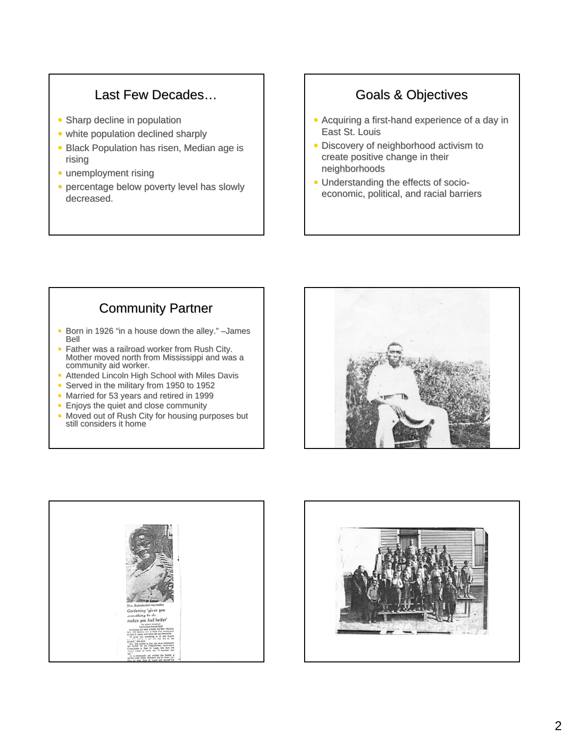### Last Few Decades...

- **Sharp decline in population**
- white population declined sharply
- **Black Population has risen, Median age is** rising
- **unemployment rising**
- **percentage below poverty level has slowly** decreased.

## Goals & Objectives

- Acquiring a first-hand experience of a day in East St. Louis
- **-** Discovery of neighborhood activism to create positive change in their neighborhoods neighborhoods
- **Understanding the effects of socio**economic, political, and racial barriers

# **Community Partner**

- Born in 1926 "in a house down the alley."  $-$  James Bell
- Father was a railroad worker from Rush City. Mother moved north from Mississippi and was a community aid worker.
- **Attended Lincoln High School with Miles Davis**
- Served in the military from 1950 to 1952
- Married for 53 years and retired in 1999
- **Enjoys the quiet and close community**
- Moved out of Rush City for housing purposes but still considers it home